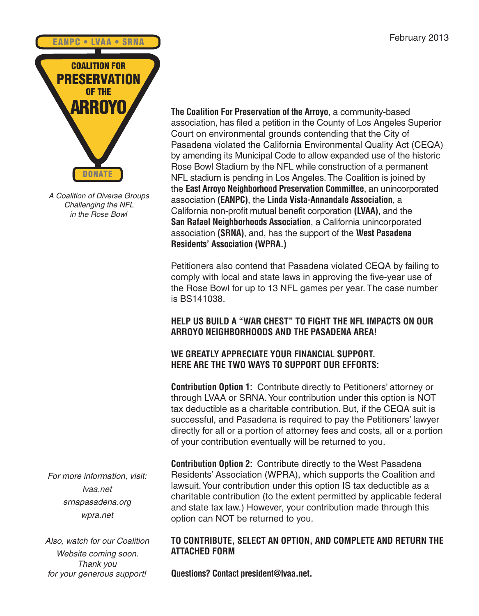

*A Coalition of Diverse Groups Challenging the NFL in the Rose Bowl*

*For more information, visit: lvaa.net srnapasadena.org wpra.net*

*Also, watch for our Coalition Website coming soon. Thank you for your generous support!*

**The Coalition For Preservation of the Arroyo**, a community-based association, has filed a petition in the County of Los Angeles Superior Court on environmental grounds contending that the City of Pasadena violated the California Environmental Quality Act (CEQA) by amending its Municipal Code to allow expanded use of the historic Rose Bowl Stadium by the NFL while construction of a permanent NFL stadium is pending in Los Angeles.The Coalition is joined by the **East Arroyo Neighborhood Preservation Committee**, an unincorporated association **(EANPC)**, the **Linda Vista-Annandale Association**, a California non-profit mutual benefit corporation **(LVAA)**, and the **San Rafael Neighborhoods Association**, a California unincorporated association **(SRNA)**, and, has the support of the **West Pasadena Residents' Association (WPRA.)**

Petitioners also contend that Pasadena violated CEQA by failing to comply with local and state laws in approving the five-year use of the Rose Bowl for up to 13 NFL games per year. The case number is BS141038.

# **HELP US BUILD A "WAR CHEST" TO FIGHT THE NFL IMPACTS ON OUR ARROYO NEIGHBORHOODS AND THE PASADENA AREA!**

# **WE GREATLY APPRECIATE YOUR FINANCIAL SUPPORT. HERE ARE THE TWO WAYS TO SUPPORT OUR EFFORTS:**

**Contribution Option 1:** Contribute directly to Petitioners' attorney or through LVAA or SRNA.Your contribution under this option is NOT tax deductible as a charitable contribution. But, if the CEQA suit is successful, and Pasadena is required to pay the Petitioners' lawyer directly for all or a portion of attorney fees and costs, all or a portion of your contribution eventually will be returned to you.

**Contribution Option 2:** Contribute directly to the West Pasadena Residents' Association (WPRA), which supports the Coalition and lawsuit.Your contribution under this option IS tax deductible as a charitable contribution (to the extent permitted by applicable federal and state tax law.) However, your contribution made through this option can NOT be returned to you.

# **TO CONTRIBUTE, SELECT AN OPTION, AND COMPLETE AND RETURN THE ATTACHED FORM**

**Questions? Contact president@lvaa.net.**